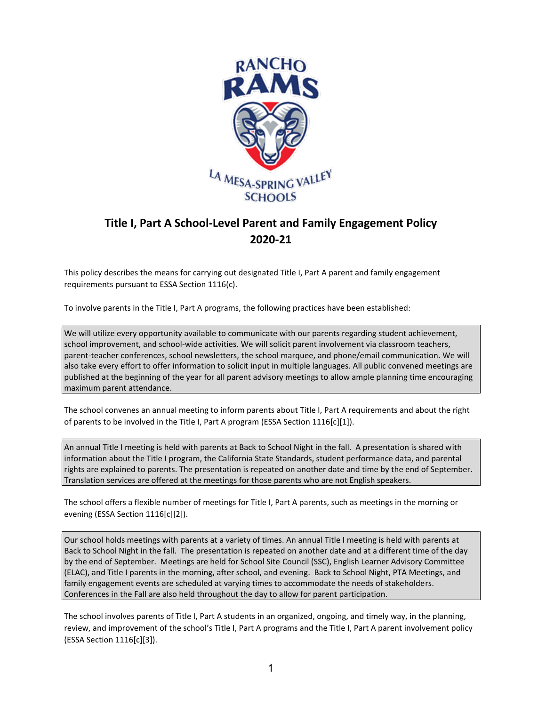

## **Title I, Part A School-Level Parent and Family Engagement Policy 2020-21**

This policy describes the means for carrying out designated Title I, Part A parent and family engagement requirements pursuant to ESSA Section 1116(c).

To involve parents in the Title I, Part A programs, the following practices have been established:

We will utilize every opportunity available to communicate with our parents regarding student achievement, school improvement, and school-wide activities. We will solicit parent involvement via classroom teachers, parent-teacher conferences, school newsletters, the school marquee, and phone/email communication. We will also take every effort to offer information to solicit input in multiple languages. All public convened meetings are published at the beginning of the year for all parent advisory meetings to allow ample planning time encouraging maximum parent attendance.

The school convenes an annual meeting to inform parents about Title I, Part A requirements and about the right of parents to be involved in the Title I, Part A program (ESSA Section 1116[c][1]).

An annual Title I meeting is held with parents at Back to School Night in the fall. A presentation is shared with information about the Title I program, the California State Standards, student performance data, and parental rights are explained to parents. The presentation is repeated on another date and time by the end of September. Translation services are offered at the meetings for those parents who are not English speakers.

The school offers a flexible number of meetings for Title I, Part A parents, such as meetings in the morning or evening (ESSA Section 1116[c][2]).

Our school holds meetings with parents at a variety of times. An annual Title I meeting is held with parents at Back to School Night in the fall. The presentation is repeated on another date and at a different time of the day by the end of September. Meetings are held for School Site Council (SSC), English Learner Advisory Committee (ELAC), and Title I parents in the morning, after school, and evening. Back to School Night, PTA Meetings, and family engagement events are scheduled at varying times to accommodate the needs of stakeholders. Conferences in the Fall are also held throughout the day to allow for parent participation.

The school involves parents of Title I, Part A students in an organized, ongoing, and timely way, in the planning, review, and improvement of the school's Title I, Part A programs and the Title I, Part A parent involvement policy (ESSA Section 1116[c][3]).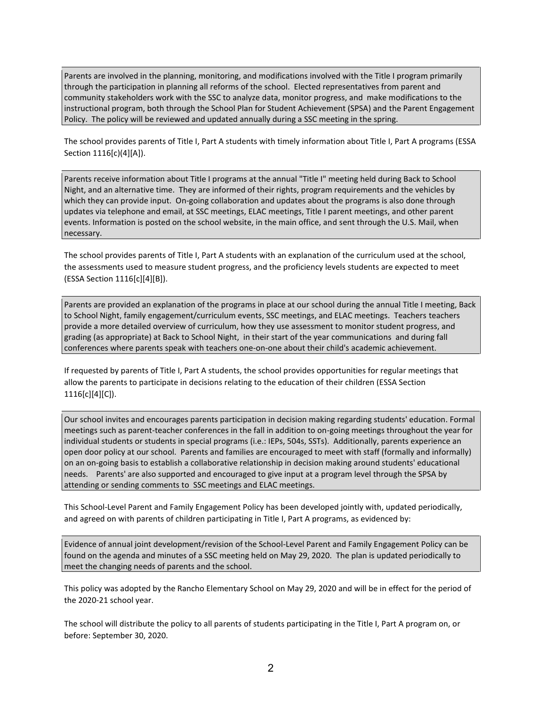Parents are involved in the planning, monitoring, and modifications involved with the Title I program primarily through the participation in planning all reforms of the school. Elected representatives from parent and community stakeholders work with the SSC to analyze data, monitor progress, and make modifications to the instructional program, both through the School Plan for Student Achievement (SPSA) and the Parent Engagement Policy. The policy will be reviewed and updated annually during a SSC meeting in the spring.

The school provides parents of Title I, Part A students with timely information about Title I, Part A programs (ESSA Section 1116[c)(4][A]).

Parents receive information about Title I programs at the annual "Title I" meeting held during Back to School Night, and an alternative time. They are informed of their rights, program requirements and the vehicles by which they can provide input. On-going collaboration and updates about the programs is also done through updates via telephone and email, at SSC meetings, ELAC meetings, Title I parent meetings, and other parent events. Information is posted on the school website, in the main office, and sent through the U.S. Mail, when necessary.

The school provides parents of Title I, Part A students with an explanation of the curriculum used at the school, the assessments used to measure student progress, and the proficiency levels students are expected to meet (ESSA Section 1116[c][4][B]).

Parents are provided an explanation of the programs in place at our school during the annual Title I meeting, Back to School Night, family engagement/curriculum events, SSC meetings, and ELAC meetings. Teachers teachers provide a more detailed overview of curriculum, how they use assessment to monitor student progress, and grading (as appropriate) at Back to School Night, in their start of the year communications and during fall conferences where parents speak with teachers one-on-one about their child's academic achievement.

If requested by parents of Title I, Part A students, the school provides opportunities for regular meetings that allow the parents to participate in decisions relating to the education of their children (ESSA Section 1116[c][4][C]).

Our school invites and encourages parents participation in decision making regarding students' education. Formal meetings such as parent-teacher conferences in the fall in addition to on-going meetings throughout the year for individual students or students in special programs (i.e.: IEPs, 504s, SSTs). Additionally, parents experience an open door policy at our school. Parents and families are encouraged to meet with staff (formally and informally) on an on-going basis to establish a collaborative relationship in decision making around students' educational needs. Parents' are also supported and encouraged to give input at a program level through the SPSA by attending or sending comments to SSC meetings and ELAC meetings.

This School-Level Parent and Family Engagement Policy has been developed jointly with, updated periodically, and agreed on with parents of children participating in Title I, Part A programs, as evidenced by:

Evidence of annual joint development/revision of the School-Level Parent and Family Engagement Policy can be found on the agenda and minutes of a SSC meeting held on May 29, 2020. The plan is updated periodically to meet the changing needs of parents and the school.

This policy was adopted by the Rancho Elementary School on May 29, 2020 and will be in effect for the period of the 2020-21 school year.

The school will distribute the policy to all parents of students participating in the Title I, Part A program on, or before: September 30, 2020.